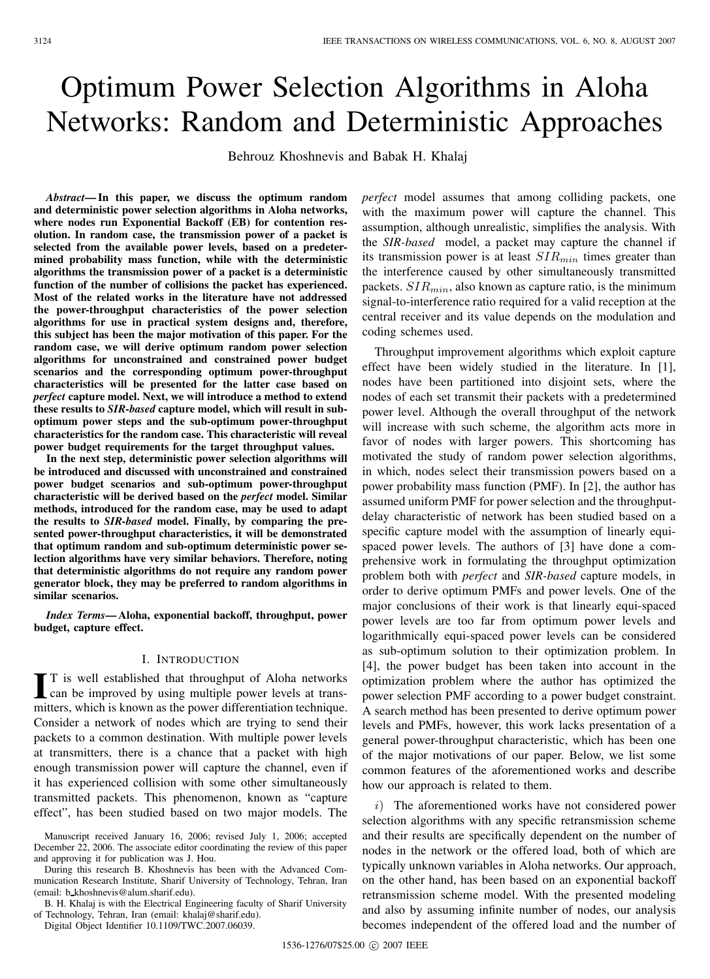# Optimum Power Selection Algorithms in Aloha Networks: Random and Deterministic Approaches

Behrouz Khoshnevis and Babak H. Khalaj

*Abstract***— In this paper, we discuss the optimum random and deterministic power selection algorithms in Aloha networks, where nodes run Exponential Backoff (EB) for contention resolution. In random case, the transmission power of a packet is selected from the available power levels, based on a predetermined probability mass function, while with the deterministic algorithms the transmission power of a packet is a deterministic function of the number of collisions the packet has experienced. Most of the related works in the literature have not addressed the power-throughput characteristics of the power selection algorithms for use in practical system designs and, therefore, this subject has been the major motivation of this paper. For the random case, we will derive optimum random power selection algorithms for unconstrained and constrained power budget scenarios and the corresponding optimum power-throughput characteristics will be presented for the latter case based on** *perfect* **capture model. Next, we will introduce a method to extend these results to** *SIR-based* **capture model, which will result in suboptimum power steps and the sub-optimum power-throughput characteristics for the random case. This characteristic will reveal power budget requirements for the target throughput values.**

**In the next step, deterministic power selection algorithms will be introduced and discussed with unconstrained and constrained power budget scenarios and sub-optimum power-throughput characteristic will be derived based on the** *perfect* **model. Similar methods, introduced for the random case, may be used to adapt the results to** *SIR-based* **model. Finally, by comparing the presented power-throughput characteristics, it will be demonstrated that optimum random and sub-optimum deterministic power selection algorithms have very similar behaviors. Therefore, noting that deterministic algorithms do not require any random power generator block, they may be preferred to random algorithms in similar scenarios.**

*Index Terms***— Aloha, exponential backoff, throughput, power budget, capture effect.**

## I. INTRODUCTION

I<sup>T</sup> is well established that throughput of Aloha networks<br>can be improved by using multiple power levels at trans-<br>mitters which is location as the neural if formation technique T is well established that throughput of Aloha networks mitters, which is known as the power differentiation technique. Consider a network of nodes which are trying to send their packets to a common destination. With multiple power levels at transmitters, there is a chance that a packet with high enough transmission power will capture the channel, even if it has experienced collision with some other simultaneously transmitted packets. This phenomenon, known as "capture effect", has been studied based on two major models. The

During this research B. Khoshnevis has been with the Advanced Communication Research Institute, Sharif University of Technology, Tehran, Iran (email: b khoshnevis@alum.sharif.edu).

B. H. Khalaj is with the Electrical Engineering faculty of Sharif University of Technology, Tehran, Iran (email: khalaj@sharif.edu).

Digital Object Identifier 10.1109/TWC.2007.06039.

*perfect* model assumes that among colliding packets, one with the maximum power will capture the channel. This assumption, although unrealistic, simplifies the analysis. With the *SIR-based* model, a packet may capture the channel if its transmission power is at least  $SIR_{min}$  times greater than the interference caused by other simultaneously transmitted packets.  $SIR_{min}$ , also known as capture ratio, is the minimum signal-to-interference ratio required for a valid reception at the central receiver and its value depends on the modulation and coding schemes used.

Throughput improvement algorithms which exploit capture effect have been widely studied in the literature. In [1], nodes have been partitioned into disjoint sets, where the nodes of each set transmit their packets with a predetermined power level. Although the overall throughput of the network will increase with such scheme, the algorithm acts more in favor of nodes with larger powers. This shortcoming has motivated the study of random power selection algorithms, in which, nodes select their transmission powers based on a power probability mass function (PMF). In [2], the author has assumed uniform PMF for power selection and the throughputdelay characteristic of network has been studied based on a specific capture model with the assumption of linearly equispaced power levels. The authors of [3] have done a comprehensive work in formulating the throughput optimization problem both with *perfect* and *SIR-based* capture models, in order to derive optimum PMFs and power levels. One of the major conclusions of their work is that linearly equi-spaced power levels are too far from optimum power levels and logarithmically equi-spaced power levels can be considered as sub-optimum solution to their optimization problem. In [4], the power budget has been taken into account in the optimization problem where the author has optimized the power selection PMF according to a power budget constraint. A search method has been presented to derive optimum power levels and PMFs, however, this work lacks presentation of a general power-throughput characteristic, which has been one of the major motivations of our paper. Below, we list some common features of the aforementioned works and describe how our approach is related to them.

i) The aforementioned works have not considered power selection algorithms with any specific retransmission scheme and their results are specifically dependent on the number of nodes in the network or the offered load, both of which are typically unknown variables in Aloha networks. Our approach, on the other hand, has been based on an exponential backoff retransmission scheme model. With the presented modeling and also by assuming infinite number of nodes, our analysis becomes independent of the offered load and the number of

Manuscript received January 16, 2006; revised July 1, 2006; accepted December 22, 2006. The associate editor coordinating the review of this paper and approving it for publication was J. Hou.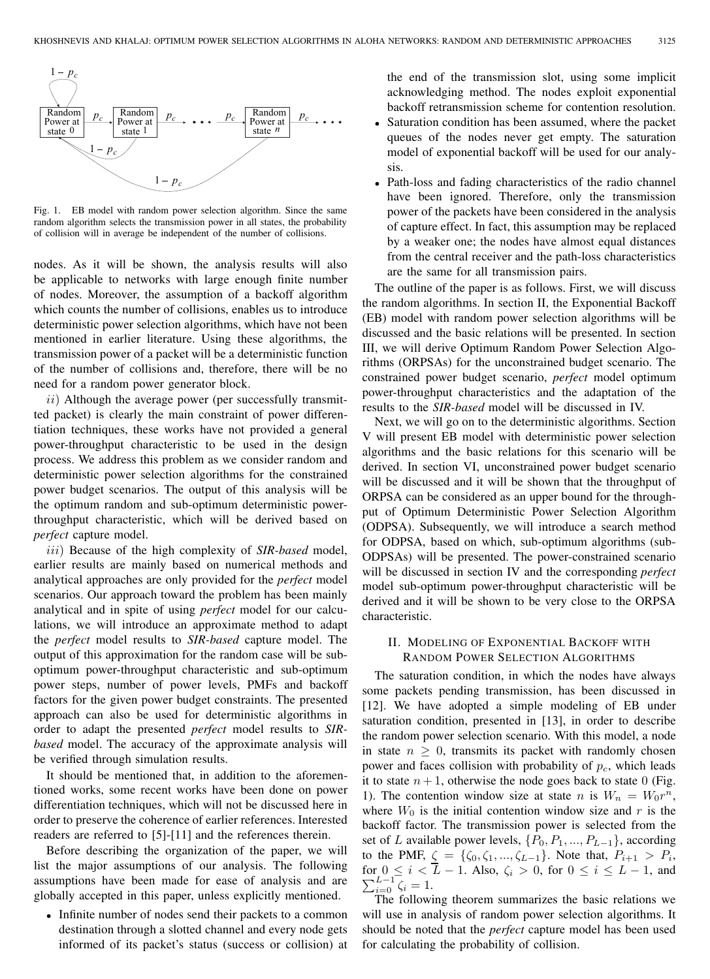

Fig. 1. EB model with random power selection algorithm. Since the same random algorithm selects the transmission power in all states, the probability of collision will in average be independent of the number of collisions.

nodes. As it will be shown, the analysis results will also be applicable to networks with large enough finite number of nodes. Moreover, the assumption of a backoff algorithm which counts the number of collisions, enables us to introduce deterministic power selection algorithms, which have not been mentioned in earlier literature. Using these algorithms, the transmission power of a packet will be a deterministic function of the number of collisions and, therefore, there will be no need for a random power generator block.

 $ii)$  Although the average power (per successfully transmitted packet) is clearly the main constraint of power differentiation techniques, these works have not provided a general power-throughput characteristic to be used in the design process. We address this problem as we consider random and deterministic power selection algorithms for the constrained power budget scenarios. The output of this analysis will be the optimum random and sub-optimum deterministic powerthroughput characteristic, which will be derived based on *perfect* capture model.

iii) Because of the high complexity of *SIR-based* model, earlier results are mainly based on numerical methods and analytical approaches are only provided for the *perfect* model scenarios. Our approach toward the problem has been mainly analytical and in spite of using *perfect* model for our calculations, we will introduce an approximate method to adapt the *perfect* model results to *SIR-based* capture model. The output of this approximation for the random case will be suboptimum power-throughput characteristic and sub-optimum power steps, number of power levels, PMFs and backoff factors for the given power budget constraints. The presented approach can also be used for deterministic algorithms in order to adapt the presented *perfect* model results to *SIRbased* model. The accuracy of the approximate analysis will be verified through simulation results.

It should be mentioned that, in addition to the aforementioned works, some recent works have been done on power differentiation techniques, which will not be discussed here in order to preserve the coherence of earlier references. Interested readers are referred to [5]-[11] and the references therein.

Before describing the organization of the paper, we will list the major assumptions of our analysis. The following assumptions have been made for ease of analysis and are globally accepted in this paper, unless explicitly mentioned.

• Infinite number of nodes send their packets to a common destination through a slotted channel and every node gets informed of its packet's status (success or collision) at the end of the transmission slot, using some implicit acknowledging method. The nodes exploit exponential backoff retransmission scheme for contention resolution.

- Saturation condition has been assumed, where the packet queues of the nodes never get empty. The saturation model of exponential backoff will be used for our analysis.
- Path-loss and fading characteristics of the radio channel have been ignored. Therefore, only the transmission power of the packets have been considered in the analysis of capture effect. In fact, this assumption may be replaced by a weaker one; the nodes have almost equal distances from the central receiver and the path-loss characteristics are the same for all transmission pairs.

The outline of the paper is as follows. First, we will discuss the random algorithms. In section II, the Exponential Backoff (EB) model with random power selection algorithms will be discussed and the basic relations will be presented. In section III, we will derive Optimum Random Power Selection Algorithms (ORPSAs) for the unconstrained budget scenario. The constrained power budget scenario, *perfect* model optimum power-throughput characteristics and the adaptation of the results to the *SIR-based* model will be discussed in IV.

Next, we will go on to the deterministic algorithms. Section V will present EB model with deterministic power selection algorithms and the basic relations for this scenario will be derived. In section VI, unconstrained power budget scenario will be discussed and it will be shown that the throughput of ORPSA can be considered as an upper bound for the throughput of Optimum Deterministic Power Selection Algorithm (ODPSA). Subsequently, we will introduce a search method for ODPSA, based on which, sub-optimum algorithms (sub-ODPSAs) will be presented. The power-constrained scenario will be discussed in section IV and the corresponding *perfect* model sub-optimum power-throughput characteristic will be derived and it will be shown to be very close to the ORPSA characteristic.

# II. MODELING OF EXPONENTIAL BACKOFF WITH RANDOM POWER SELECTION ALGORITHMS

The saturation condition, in which the nodes have always some packets pending transmission, has been discussed in [12]. We have adopted a simple modeling of EB under saturation condition, presented in [13], in order to describe the random power selection scenario. With this model, a node in state  $n \geq 0$ , transmits its packet with randomly chosen power and faces collision with probability of  $p<sub>c</sub>$ , which leads it to state  $n + 1$ , otherwise the node goes back to state 0 (Fig. 1). The contention window size at state n is  $W_n = W_0 r^n$ , where  $W_0$  is the initial contention window size and r is the backoff factor. The transmission power is selected from the set of L available power levels,  $\{P_0, P_1, ..., P_{L-1}\}$ , according to the PMF,  $\zeta = {\zeta_0, \zeta_1, ..., \zeta_{L-1}}$ . Note that,  $P_{i+1} > P_i$ ,  $\sum_{i=0}^{L-1} \overline{\zeta_i} = 1.$ for  $0 \le i < L - 1$ . Also,  $\zeta_i > 0$ , for  $0 \le i \le L - 1$ , and

The following theorem summarizes the basic relations we will use in analysis of random power selection algorithms. It should be noted that the *perfect* capture model has been used for calculating the probability of collision.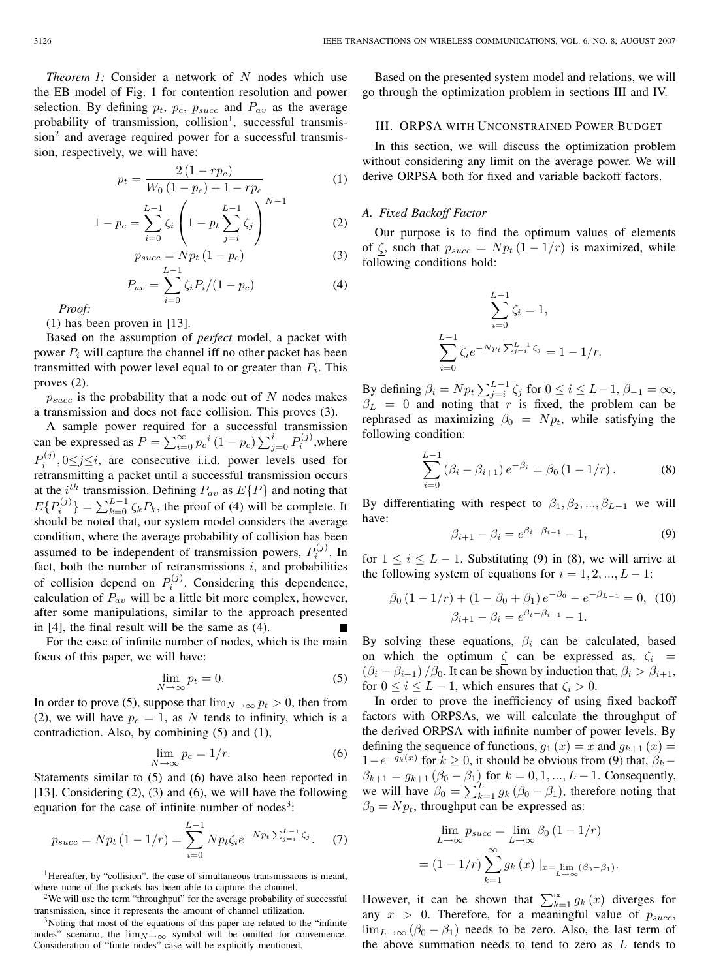*Theorem 1:* Consider a network of N nodes which use the EB model of Fig. 1 for contention resolution and power selection. By defining  $p_t$ ,  $p_c$ ,  $p_{succ}$  and  $P_{av}$  as the average probability of transmission, collision<sup>1</sup>, successful transmission<sup>2</sup> and average required power for a successful transmission, respectively, we will have:

$$
p_t = \frac{2(1 - r p_c)}{W_0(1 - p_c) + 1 - r p_c}
$$
 (1)

$$
1 - p_c = \sum_{i=0}^{L-1} \zeta_i \left( 1 - p_t \sum_{j=i}^{L-1} \zeta_j \right)^{N-1}
$$
 (2)

$$
p_{succ} = N p_t (1 - p_c)
$$
\n<sup>(3)</sup>

$$
P_{av} = \sum_{i=0}^{L-1} \zeta_i P_i / (1 - p_c) \tag{4}
$$

*Proof:*

(1) has been proven in [13].

Based on the assumption of *perfect* model, a packet with power  $P_i$  will capture the channel iff no other packet has been transmitted with power level equal to or greater than  $P_i$ . This proves (2).

 $p_{succ}$  is the probability that a node out of N nodes makes a transmission and does not face collision. This proves (3).

A sample power required for a successful transmission can be expressed as  $P = \sum_{i=0}^{\infty} p_c^i (1 - p_c) \sum_{j=0}^i P_i^{(j)}$ , where  $P_i^{(j)}$ ,  $0 \le j \le i$ , are consecutive i.i.d. power levels used for retransmitting a packet until a successful transmission occurs at the  $i^{th}$  transmission. Defining  $P_{av}$  as  $E\{P\}$  and noting that  $E\{P_i^{(j)}\} = \sum_{k=0}^{L-1} \zeta_k P_k$ , the proof of (4) will be complete. It should be noted that, our system model considers the average condition, where the average probability of collision has been assumed to be independent of transmission powers,  $P_i^{(j)}$ . In fact, both the number of retransmissions  $i$ , and probabilities of collision depend on  $P_i^{(j)}$ . Considering this dependence, calculation of  $P_{av}$  will be a little bit more complex, however, after some manipulations, similar to the approach presented in [4], the final result will be the same as (4).

For the case of infinite number of nodes, which is the main focus of this paper, we will have:

$$
\lim_{N \to \infty} p_t = 0. \tag{5}
$$

In order to prove (5), suppose that  $\lim_{N\to\infty} p_t > 0$ , then from (2), we will have  $p_c = 1$ , as N tends to infinity, which is a contradiction. Also, by combining (5) and (1),

$$
\lim_{N \to \infty} p_c = 1/r. \tag{6}
$$

Statements similar to (5) and (6) have also been reported in [13]. Considering (2), (3) and (6), we will have the following equation for the case of infinite number of nodes<sup>3</sup>:

$$
p_{succ} = N p_t (1 - 1/r) = \sum_{i=0}^{L-1} N p_t \zeta_i e^{-N p_t \sum_{j=i}^{L-1} \zeta_j}.
$$
 (7)

<sup>1</sup>Hereafter, by "collision", the case of simultaneous transmissions is meant, where none of the packets has been able to capture the channel.

<sup>2</sup>We will use the term "throughput" for the average probability of successful transmission, since it represents the amount of channel utilization.

<sup>3</sup>Noting that most of the equations of this paper are related to the "infinite nodes" scenario, the  $\lim_{N\to\infty}$  symbol will be omitted for convenience. Consideration of "finite nodes" case will be explicitly mentioned.

Based on the presented system model and relations, we will go through the optimization problem in sections III and IV.

## III. ORPSA WITH UNCONSTRAINED POWER BUDGET

In this section, we will discuss the optimization problem without considering any limit on the average power. We will derive ORPSA both for fixed and variable backoff factors.

## *A. Fixed Backoff Factor*

Our purpose is to find the optimum values of elements of  $\zeta$ , such that  $p_{succ} = N p_t (1 - 1/r)$  is maximized, while following conditions hold:

$$
\sum_{i=0}^{L-1} \zeta_i = 1,
$$
  

$$
\sum_{i=0}^{L-1} \zeta_i e^{-N p_t \sum_{j=i}^{L-1} \zeta_j} = 1 - 1/r.
$$

By defining  $\beta_i = N p_t \sum_{j=i}^{L-1} \zeta_j$  for  $0 \le i \le L-1$ ,  $\beta_{-1} = \infty$ ,  $\beta_L = 0$  and noting that r is fixed, the problem can be rephrased as maximizing  $\beta_0 = N p_t$ , while satisfying the following condition:

$$
\sum_{i=0}^{L-1} (\beta_i - \beta_{i+1}) e^{-\beta_i} = \beta_0 (1 - 1/r).
$$
 (8)

By differentiating with respect to  $\beta_1, \beta_2, ..., \beta_{L-1}$  we will have:

$$
\beta_{i+1} - \beta_i = e^{\beta_i - \beta_{i-1}} - 1,\tag{9}
$$

for  $1 \leq i \leq L - 1$ . Substituting (9) in (8), we will arrive at the following system of equations for  $i = 1, 2, ..., L - 1$ :

$$
\beta_0 (1 - 1/r) + (1 - \beta_0 + \beta_1) e^{-\beta_0} - e^{-\beta_{L-1}} = 0, \tag{10}
$$

$$
\beta_{i+1} - \beta_i = e^{\beta_i - \beta_{i-1}} - 1.
$$

By solving these equations,  $\beta_i$  can be calculated, based on which the optimum  $\zeta$  can be expressed as,  $\zeta_i$  =  $(\beta_i - \beta_{i+1})/\beta_0$ . It can be shown by induction that,  $\beta_i > \beta_{i+1}$ , for  $0 \le i \le L - 1$ , which ensures that  $\zeta_i > 0$ .

In order to prove the inefficiency of using fixed backoff factors with ORPSAs, we will calculate the throughput of the derived ORPSA with infinite number of power levels. By defining the sequence of functions,  $g_1(x) = x$  and  $g_{k+1}(x) =$  $1-e^{-g_k(x)}$  for  $k \ge 0$ , it should be obvious from (9) that,  $\beta_k$  –  $\beta_{k+1} = g_{k+1} (\beta_0 - \beta_1)$  for  $k = 0, 1, ..., L - 1$ . Consequently, we will have  $\beta_0 = \sum_{k=1}^{L} g_k (\beta_0 - \beta_1)$ , therefore noting that  $\beta_0 = N p_t$ , throughput can be expressed as:

$$
\lim_{L \to \infty} p_{succ} = \lim_{L \to \infty} \beta_0 (1 - 1/r)
$$

$$
= (1 - 1/r) \sum_{k=1}^{\infty} g_k(x) |_{x = \lim_{L \to \infty} (\beta_0 - \beta_1)}.
$$

However, it can be shown that  $\sum_{k=1}^{\infty} g_k(x)$  diverges for any  $x > 0$ . Therefore, for a meaningful value of  $p_{succ}$ ,  $\lim_{L\to\infty}$  ( $\beta_0$  –  $\beta_1$ ) needs to be zero. Also, the last term of the above summation needs to tend to zero as  $L$  tends to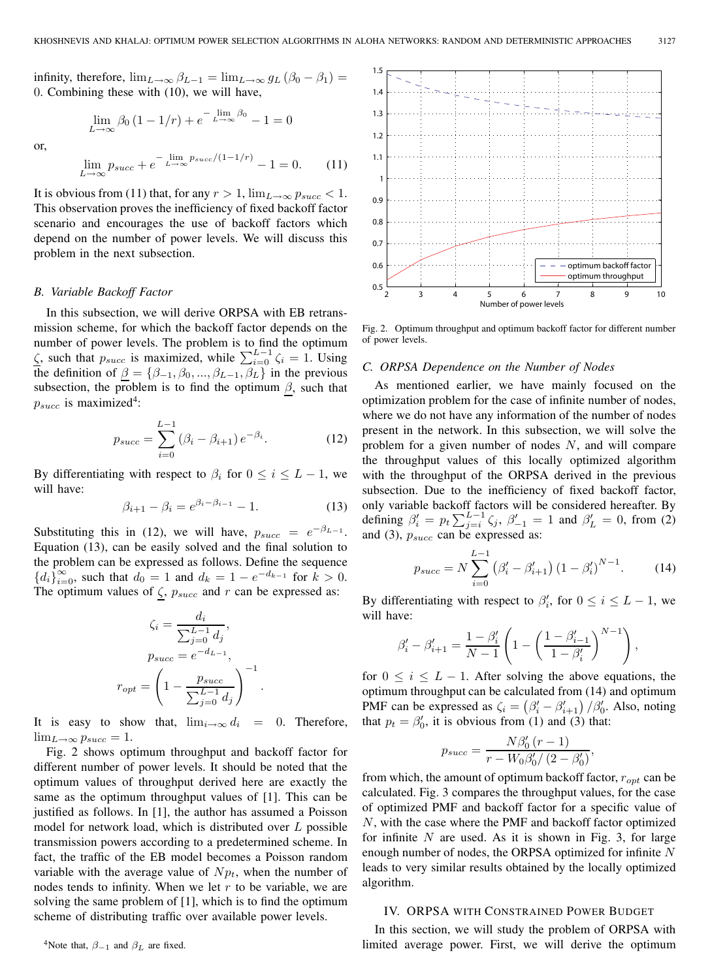infinity, therefore,  $\lim_{L\to\infty} \beta_{L-1} = \lim_{L\to\infty} g_L (\beta_0 - \beta_1) =$ 0. Combining these with (10), we will have,

$$
\lim_{L \to \infty} \beta_0 (1 - 1/r) + e^{-\lim_{L \to \infty} \beta_0} - 1 = 0
$$

or,

$$
\lim_{L \to \infty} p_{succ} + e^{-\lim_{L \to \infty} p_{succ}/(1-1/r)} - 1 = 0.
$$
 (11)

It is obvious from (11) that, for any  $r > 1$ ,  $\lim_{L\to\infty} p_{succ} < 1$ . This observation proves the inefficiency of fixed backoff factor scenario and encourages the use of backoff factors which depend on the number of power levels. We will discuss this problem in the next subsection.

#### *B. Variable Backoff Factor*

In this subsection, we will derive ORPSA with EB retransmission scheme, for which the backoff factor depends on the number of power levels. The problem is to find the optimum  $\zeta$ , such that  $p_{succ}$  is maximized, while  $\sum_{i=0}^{L-1} \zeta_i = 1$ . Using the definition of  $\underline{\beta} = {\beta_{-1}, \beta_0, ..., \beta_{L-1}, \beta_L}$  in the previous subsection, the problem is to find the optimum  $\beta$ , such that  $p_{succ}$  is maximized<sup>4</sup>:

$$
p_{succ} = \sum_{i=0}^{L-1} (\beta_i - \beta_{i+1}) e^{-\beta_i}.
$$
 (12)

By differentiating with respect to  $\beta_i$  for  $0 \leq i \leq L-1$ , we will have:

$$
\beta_{i+1} - \beta_i = e^{\beta_i - \beta_{i-1}} - 1.
$$
 (13)

Substituting this in (12), we will have,  $p_{succ} = e^{-\beta_{L-1}}$ . Equation (13), can be easily solved and the final solution to the problem can be expressed as follows. Define the sequence  ${d_i}_{i=0}^{\infty}$ , such that  $d_0 = 1$  and  $d_k = 1 - e^{-d_{k-1}}$  for  $k > 0$ . The optimum values of  $\zeta$ ,  $p_{succ}$  and r can be expressed as:

$$
\zeta_i = \frac{d_i}{\sum_{j=0}^{L-1} d_j},
$$

$$
p_{succ} = e^{-d_{L-1}},
$$

$$
r_{opt} = \left(1 - \frac{p_{succ}}{\sum_{j=0}^{L-1} d_j}\right)^{-1}.
$$

It is easy to show that,  $\lim_{i\to\infty} d_i = 0$ . Therefore,  $\lim_{L\to\infty} p_{succ} = 1.$ 

Fig. 2 shows optimum throughput and backoff factor for different number of power levels. It should be noted that the optimum values of throughput derived here are exactly the same as the optimum throughput values of [1]. This can be justified as follows. In [1], the author has assumed a Poisson model for network load, which is distributed over L possible transmission powers according to a predetermined scheme. In fact, the traffic of the EB model becomes a Poisson random variable with the average value of  $N p_t$ , when the number of nodes tends to infinity. When we let  $r$  to be variable, we are solving the same problem of [1], which is to find the optimum scheme of distributing traffic over available power levels.

<sup>4</sup>Note that,  $\beta_{-1}$  and  $\beta_L$  are fixed.



Fig. 2. Optimum throughput and optimum backoff factor for different number of power levels.

#### *C. ORPSA Dependence on the Number of Nodes*

As mentioned earlier, we have mainly focused on the optimization problem for the case of infinite number of nodes, where we do not have any information of the number of nodes present in the network. In this subsection, we will solve the problem for a given number of nodes  $N$ , and will compare the throughput values of this locally optimized algorithm with the throughput of the ORPSA derived in the previous subsection. Due to the inefficiency of fixed backoff factor, only variable backoff factors will be considered hereafter. By defining  $\beta_i' = p_t \sum_{j=i}^{L-1} \zeta_j$ ,  $\beta_{-1}' = 1$  and  $\beta_L' = 0$ , from (2) and (3),  $p_{succ}$  can be expressed as:

$$
p_{succ} = N \sum_{i=0}^{L-1} (\beta_i' - \beta_{i+1}') (1 - \beta_i')^{N-1}.
$$
 (14)

By differentiating with respect to  $\beta_i'$ , for  $0 \le i \le L-1$ , we will have:

$$
\beta'_{i} - \beta'_{i+1} = \frac{1 - \beta'_{i}}{N - 1} \left( 1 - \left( \frac{1 - \beta'_{i-1}}{1 - \beta'_{i}} \right)^{N - 1} \right),
$$

for  $0 \leq i \leq L - 1$ . After solving the above equations, the optimum throughput can be calculated from (14) and optimum PMF can be expressed as  $\zeta_i = (\beta'_i - \beta'_{i+1})/\beta'_0$ . Also, noting that  $p_t = \beta'_0$ , it is obvious from (1) and (3) that:

$$
p_{succ} = \frac{N\beta'_0 (r-1)}{r - W_0 \beta'_0 / (2 - \beta'_0)},
$$

from which, the amount of optimum backoff factor,  $r_{opt}$  can be calculated. Fig. 3 compares the throughput values, for the case of optimized PMF and backoff factor for a specific value of N, with the case where the PMF and backoff factor optimized for infinite  $N$  are used. As it is shown in Fig. 3, for large enough number of nodes, the ORPSA optimized for infinite N leads to very similar results obtained by the locally optimized algorithm.

#### IV. ORPSA WITH CONSTRAINED POWER BUDGET

In this section, we will study the problem of ORPSA with limited average power. First, we will derive the optimum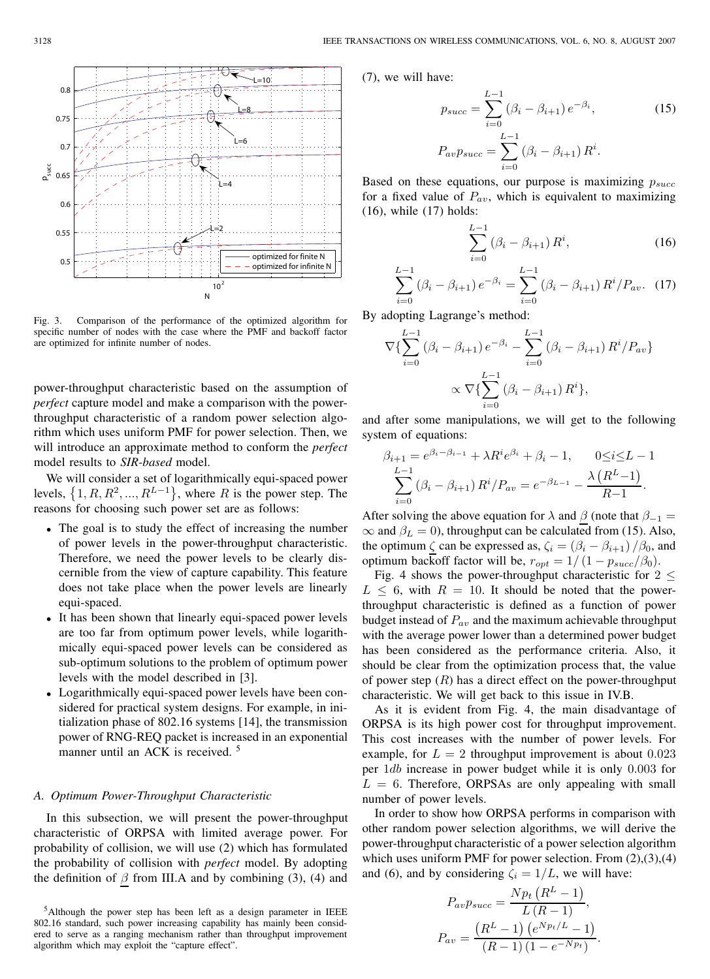

Fig. 3. Comparison of the performance of the optimized algorithm for specific number of nodes with the case where the PMF and backoff factor are optimized for infinite number of nodes.

power-throughput characteristic based on the assumption of *perfect* capture model and make a comparison with the powerthroughput characteristic of a random power selection algorithm which uses uniform PMF for power selection. Then, we will introduce an approximate method to conform the *perfect* model results to *SIR-based* model.

We will consider a set of logarithmically equi-spaced power levels,  $\{1, R, R^2, ..., R^{L-1}\}$ , where R is the power step. The reasons for choosing such power set are as follows:

- The goal is to study the effect of increasing the number of power levels in the power-throughput characteristic. Therefore, we need the power levels to be clearly discernible from the view of capture capability. This feature does not take place when the power levels are linearly equi-spaced.
- It has been shown that linearly equi-spaced power levels are too far from optimum power levels, while logarithmically equi-spaced power levels can be considered as sub-optimum solutions to the problem of optimum power levels with the model described in [3].
- Logarithmically equi-spaced power levels have been considered for practical system designs. For example, in initialization phase of 802.16 systems [14], the transmission power of RNG-REQ packet is increased in an exponential manner until an ACK is received.<sup>5</sup>

## *A. Optimum Power-Throughput Characteristic*

In this subsection, we will present the power-throughput characteristic of ORPSA with limited average power. For probability of collision, we will use (2) which has formulated the probability of collision with *perfect* model. By adopting the definition of  $\beta$  from III.A and by combining (3), (4) and

(7), we will have:

$$
p_{succ} = \sum_{i=0}^{L-1} (\beta_i - \beta_{i+1}) e^{-\beta_i},
$$
\n
$$
P_{av} p_{succ} = \sum_{i=0}^{L-1} (\beta_i - \beta_{i+1}) R^i.
$$
\n(15)

Based on these equations, our purpose is maximizing  $p_{succ}$ for a fixed value of  $P_{av}$ , which is equivalent to maximizing (16), while (17) holds:

$$
\sum_{i=0}^{L-1} (\beta_i - \beta_{i+1}) R^i,
$$
\n(16)

$$
\sum_{i=0}^{L-1} (\beta_i - \beta_{i+1}) e^{-\beta_i} = \sum_{i=0}^{L-1} (\beta_i - \beta_{i+1}) R^i / P_{av}. \tag{17}
$$

By adopting Lagrange's method:

$$
\nabla \{ \sum_{i=0}^{L-1} (\beta_i - \beta_{i+1}) e^{-\beta_i} - \sum_{i=0}^{L-1} (\beta_i - \beta_{i+1}) R^i / P_{av} \}
$$

$$
\propto \nabla \{ \sum_{i=0}^{L-1} (\beta_i - \beta_{i+1}) R^i \},
$$

and after some manipulations, we will get to the following system of equations:

$$
\beta_{i+1} = e^{\beta_i - \beta_{i-1}} + \lambda R^i e^{\beta_i} + \beta_i - 1, \qquad 0 \le i \le L - 1
$$

$$
\sum_{i=0}^{L-1} (\beta_i - \beta_{i+1}) R^i / P_{av} = e^{-\beta_{L-1}} - \frac{\lambda (R^L - 1)}{R - 1}.
$$

After solving the above equation for  $\lambda$  and  $\beta$  (note that  $\beta_{-1} =$  $\infty$  and  $\beta_L = 0$ ), throughput can be calculated from (15). Also, the optimum  $\zeta$  can be expressed as,  $\zeta_i = (\beta_i - \beta_{i+1})/\beta_0$ , and optimum backoff factor will be,  $r_{opt} = 1/(1 - p_{succ}/\beta_0)$ .

Fig. 4 shows the power-throughput characteristic for  $2 \leq$  $L \leq 6$ , with  $R = 10$ . It should be noted that the powerthroughput characteristic is defined as a function of power budget instead of  $P_{av}$  and the maximum achievable throughput with the average power lower than a determined power budget has been considered as the performance criteria. Also, it should be clear from the optimization process that, the value of power step  $(R)$  has a direct effect on the power-throughput characteristic. We will get back to this issue in IV.B.

As it is evident from Fig. 4, the main disadvantage of ORPSA is its high power cost for throughput improvement. This cost increases with the number of power levels. For example, for  $L = 2$  throughput improvement is about 0.023 per 1db increase in power budget while it is only 0.003 for  $L = 6$ . Therefore, ORPSAs are only appealing with small number of power levels.

In order to show how ORPSA performs in comparison with other random power selection algorithms, we will derive the power-throughput characteristic of a power selection algorithm which uses uniform PMF for power selection. From  $(2),(3),(4)$ and (6), and by considering  $\zeta_i = 1/L$ , we will have:

$$
P_{av}p_{succ} = \frac{Np_t (R^L - 1)}{L (R - 1)},
$$
  
\n
$$
P_{av} = \frac{(R^L - 1) (e^{Np_t/L} - 1)}{(R - 1) (1 - e^{-Np_t})}.
$$

<sup>&</sup>lt;sup>5</sup>Although the power step has been left as a design parameter in IEEE 802.16 standard, such power increasing capability has mainly been considered to serve as a ranging mechanism rather than throughput improvement algorithm which may exploit the "capture effect".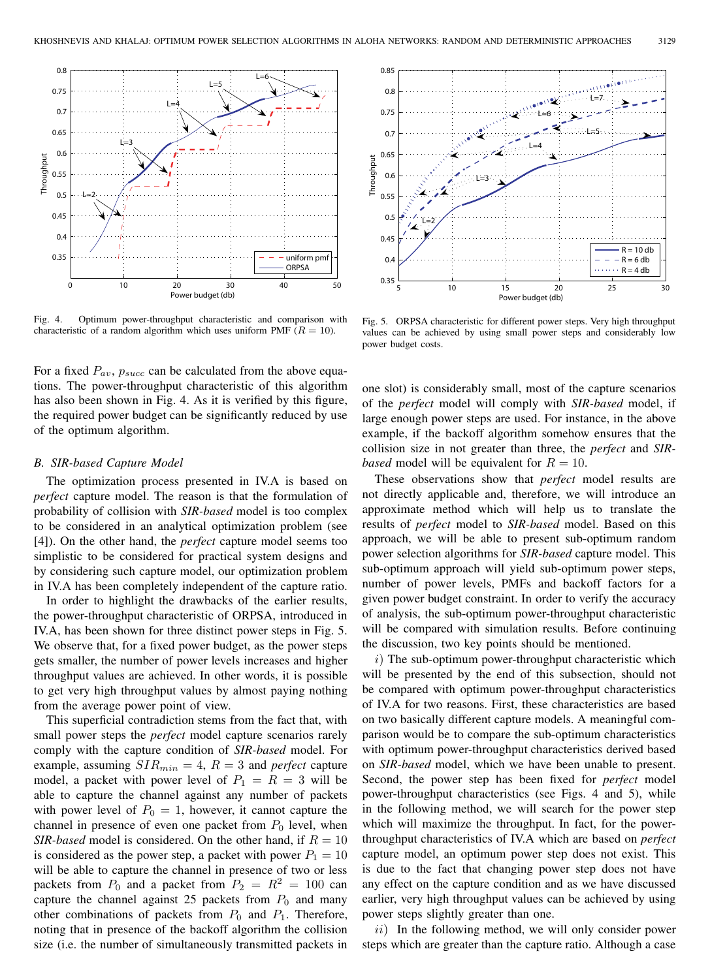

Fig. 4. Optimum power-throughput characteristic and comparison with characteristic of a random algorithm which uses uniform PMF ( $R = 10$ ).

For a fixed  $P_{av}$ ,  $p_{succ}$  can be calculated from the above equations. The power-throughput characteristic of this algorithm has also been shown in Fig. 4. As it is verified by this figure, the required power budget can be significantly reduced by use of the optimum algorithm.

#### *B. SIR-based Capture Model*

The optimization process presented in IV.A is based on *perfect* capture model. The reason is that the formulation of probability of collision with *SIR-based* model is too complex to be considered in an analytical optimization problem (see [4]). On the other hand, the *perfect* capture model seems too simplistic to be considered for practical system designs and by considering such capture model, our optimization problem in IV.A has been completely independent of the capture ratio.

In order to highlight the drawbacks of the earlier results, the power-throughput characteristic of ORPSA, introduced in IV.A, has been shown for three distinct power steps in Fig. 5. We observe that, for a fixed power budget, as the power steps gets smaller, the number of power levels increases and higher throughput values are achieved. In other words, it is possible to get very high throughput values by almost paying nothing from the average power point of view.

This superficial contradiction stems from the fact that, with small power steps the *perfect* model capture scenarios rarely comply with the capture condition of *SIR-based* model. For example, assuming  $SIR_{min} = 4$ ,  $R = 3$  and *perfect* capture model, a packet with power level of  $P_1 = R = 3$  will be able to capture the channel against any number of packets with power level of  $P_0 = 1$ , however, it cannot capture the channel in presence of even one packet from  $P_0$  level, when *SIR-based* model is considered. On the other hand, if  $R = 10$ is considered as the power step, a packet with power  $P_1 = 10$ will be able to capture the channel in presence of two or less packets from  $P_0$  and a packet from  $P_2 = R^2 = 100$  can capture the channel against 25 packets from  $P_0$  and many other combinations of packets from  $P_0$  and  $P_1$ . Therefore, noting that in presence of the backoff algorithm the collision size (i.e. the number of simultaneously transmitted packets in



Fig. 5. ORPSA characteristic for different power steps. Very high throughput values can be achieved by using small power steps and considerably low power budget costs.

one slot) is considerably small, most of the capture scenarios of the *perfect* model will comply with *SIR-based* model, if large enough power steps are used. For instance, in the above example, if the backoff algorithm somehow ensures that the collision size in not greater than three, the *perfect* and *SIRbased* model will be equivalent for  $R = 10$ .

These observations show that *perfect* model results are not directly applicable and, therefore, we will introduce an approximate method which will help us to translate the results of *perfect* model to *SIR-based* model. Based on this approach, we will be able to present sub-optimum random power selection algorithms for *SIR-based* capture model. This sub-optimum approach will yield sub-optimum power steps, number of power levels, PMFs and backoff factors for a given power budget constraint. In order to verify the accuracy of analysis, the sub-optimum power-throughput characteristic will be compared with simulation results. Before continuing the discussion, two key points should be mentioned.

 $i)$  The sub-optimum power-throughput characteristic which will be presented by the end of this subsection, should not be compared with optimum power-throughput characteristics of IV.A for two reasons. First, these characteristics are based on two basically different capture models. A meaningful comparison would be to compare the sub-optimum characteristics with optimum power-throughput characteristics derived based on *SIR-based* model, which we have been unable to present. Second, the power step has been fixed for *perfect* model power-throughput characteristics (see Figs. 4 and 5), while in the following method, we will search for the power step which will maximize the throughput. In fact, for the powerthroughput characteristics of IV.A which are based on *perfect* capture model, an optimum power step does not exist. This is due to the fact that changing power step does not have any effect on the capture condition and as we have discussed earlier, very high throughput values can be achieved by using power steps slightly greater than one.

 $ii)$  In the following method, we will only consider power steps which are greater than the capture ratio. Although a case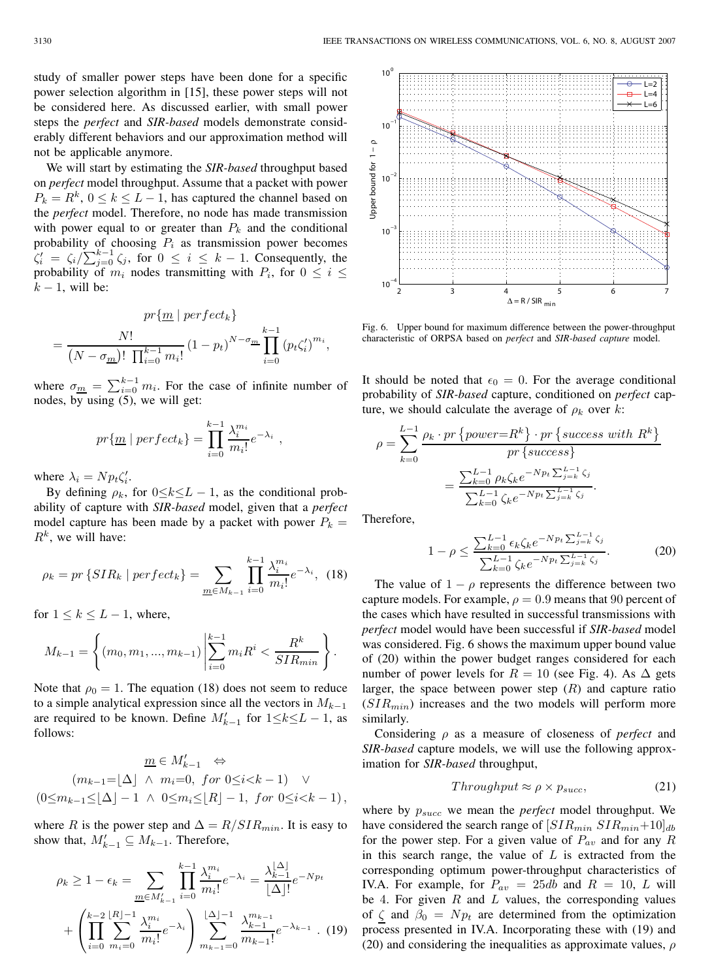study of smaller power steps have been done for a specific power selection algorithm in [15], these power steps will not be considered here. As discussed earlier, with small power steps the *perfect* and *SIR-based* models demonstrate considerably different behaviors and our approximation method will not be applicable anymore.

We will start by estimating the *SIR-based* throughput based on *perfect* model throughput. Assume that a packet with power  $P_k = R^k$ ,  $0 \le k \le L - 1$ , has captured the channel based on the *perfect* model. Therefore, no node has made transmission with power equal to or greater than  $P_k$  and the conditional probability of choosing  $P_i$  as transmission power becomes  $\zeta_i' = \zeta_i / \sum_{j=0}^{k-1} \zeta_j$ , for  $0 \le i \le k-1$ . Consequently, the probability of  $m_i$  nodes transmitting with  $P_i$ , for  $0 \le i \le$  $k - 1$ , will be:

$$
pr\{\underline{m} \mid perfect_k\}
$$
  
= 
$$
\frac{N!}{(N - \sigma_{\underline{m}})! \prod_{i=0}^{k-1} m_i!} (1 - p_t)^{N - \sigma_{\underline{m}}} \prod_{i=0}^{k-1} (p_t \zeta'_i)^{m_i},
$$

where  $\sigma_{\underline{m}} = \sum_{i=0}^{k-1} m_i$ . For the case of infinite number of nodes, by using (5), we will get:

$$
pr\{\underline{m} \mid perfect_k\} = \prod_{i=0}^{k-1} \frac{\lambda_i^{m_i}}{m_i!} e^{-\lambda_i} ,
$$

where  $\lambda_i = N p_t \zeta_i'$ .

By defining  $\rho_k$ , for  $0 \le k \le L - 1$ , as the conditional probability of capture with *SIR-based* model, given that a *perfect* model capture has been made by a packet with power  $P_k =$  $R^k$ , we will have:

$$
\rho_k = pr \{SIR_k \mid perfect_k\} = \sum_{\underline{m} \in M_{k-1}} \prod_{i=0}^{k-1} \frac{\lambda_i^{m_i}}{m_i!} e^{-\lambda_i}, \tag{18}
$$

for  $1 \leq k \leq L-1$ , where,

$$
M_{k-1} = \left\{ (m_0, m_1, ..., m_{k-1}) \middle| \sum_{i=0}^{k-1} m_i R^i < \frac{R^k}{SIR_{min}} \right\}.
$$

Note that  $\rho_0 = 1$ . The equation (18) does not seem to reduce to a simple analytical expression since all the vectors in  $M_{k-1}$ are required to be known. Define  $M'_{k-1}$  for  $1 \le k \le L - 1$ , as follows:

$$
\underline{m} \in M'_{k-1} \Leftrightarrow
$$
\n
$$
(m_{k-1} = \lfloor \Delta \rfloor \ \land \ m_i = 0, \ for \ 0 \le i < k-1) \ \lor
$$
\n
$$
(0 \le m_{k-1} \le \lfloor \Delta \rfloor - 1 \ \land \ 0 \le m_i \le \lfloor R \rfloor - 1, \ for \ 0 \le i < k-1),
$$

where R is the power step and  $\Delta = R/SIR_{min}$ . It is easy to show that,  $M'_{k-1} \subseteq M_{k-1}$ . Therefore,

$$
\rho_k \ge 1 - \epsilon_k = \sum_{\underline{m} \in M'_{k-1}} \prod_{i=0}^{k-1} \frac{\lambda_i^{m_i}}{m_i!} e^{-\lambda_i} = \frac{\lambda_{k-1}^{|\Delta|}}{|\Delta|!} e^{-N p_t}
$$

$$
+ \left( \prod_{i=0}^{k-2} \sum_{m_i=0}^{|R|-1} \frac{\lambda_i^{m_i}}{m_i!} e^{-\lambda_i} \right) \sum_{m_{k-1}=0}^{|\Delta|-1} \frac{\lambda_{k-1}^{m_{k-1}}}{m_{k-1}!} e^{-\lambda_{k-1}} . (19)
$$



Fig. 6. Upper bound for maximum difference between the power-throughput characteristic of ORPSA based on *perfect* and *SIR-based capture* model.

It should be noted that  $\epsilon_0 = 0$ . For the average conditional probability of *SIR-based* capture, conditioned on *perfect* capture, we should calculate the average of  $\rho_k$  over k:

$$
\rho = \sum_{k=0}^{L-1} \frac{\rho_k \cdot pr \{power = R^k\} \cdot pr \{success \ with \ R^k\}}{pr \{success\}} = \frac{\sum_{k=0}^{L-1} \rho_k \zeta_k e^{-N p_t \sum_{j=k}^{L-1} \zeta_j}}{\sum_{k=0}^{L-1} \zeta_k e^{-N p_t \sum_{j=k}^{L-1} \zeta_j}}.
$$

Therefore,

$$
1 - \rho \le \frac{\sum_{k=0}^{L-1} \epsilon_k \zeta_k e^{-N p_t \sum_{j=k}^{L-1} \zeta_j}}{\sum_{k=0}^{L-1} \zeta_k e^{-N p_t \sum_{j=k}^{L-1} \zeta_j}}.
$$
(20)

The value of  $1 - \rho$  represents the difference between two capture models. For example,  $\rho = 0.9$  means that 90 percent of the cases which have resulted in successful transmissions with *perfect* model would have been successful if *SIR-based* model was considered. Fig. 6 shows the maximum upper bound value of (20) within the power budget ranges considered for each number of power levels for  $R = 10$  (see Fig. 4). As  $\Delta$  gets larger, the space between power step  $(R)$  and capture ratio  $(SIR_{min})$  increases and the two models will perform more similarly.

Considering ρ as a measure of closeness of *perfect* and *SIR-based* capture models, we will use the following approximation for *SIR-based* throughput,

$$
Throughput \approx \rho \times p_{succ}, \tag{21}
$$

where by  $p_{succ}$  we mean the *perfect* model throughput. We have considered the search range of  $[SIR_{min} SIR_{min}+10]_{db}$ for the power step. For a given value of  $P_{av}$  and for any R in this search range, the value of  $L$  is extracted from the corresponding optimum power-throughput characteristics of IV.A. For example, for  $P_{av} = 25db$  and  $R = 10$ , L will be 4. For given  $R$  and  $L$  values, the corresponding values of  $\zeta$  and  $\beta_0 = N p_t$  are determined from the optimization process presented in IV.A. Incorporating these with (19) and (20) and considering the inequalities as approximate values,  $\rho$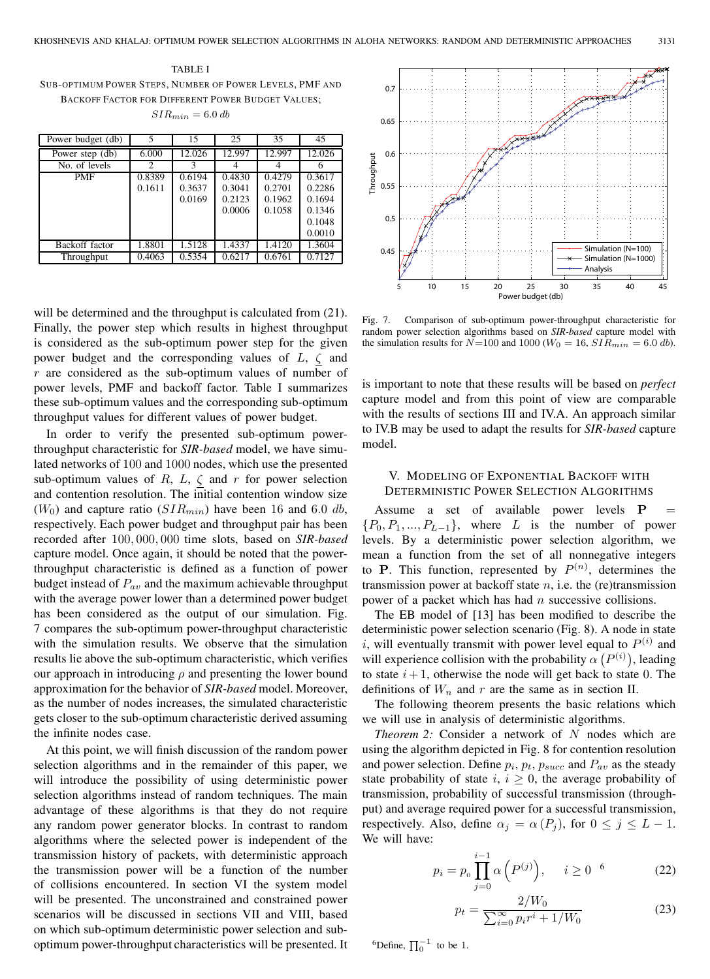# TABLE I

SUB-OPTIMUM POWER STEPS, NUMBER OF POWER LEVELS, PMF AND BACKOFF FACTOR FOR DIFFERENT POWER BUDGET VALUES;  $SIR_{min} = 6.0$  db

| Power budget (db) |        | 15     | 25     | 35     | 45     |
|-------------------|--------|--------|--------|--------|--------|
| Power step (db)   | 6.000  | 12.026 | 12.997 | 12.997 | 12.026 |
| No. of levels     | 2      | 3      |        |        |        |
| <b>PMF</b>        | 0.8389 | 0.6194 | 0.4830 | 0.4279 | 0.3617 |
|                   | 0.1611 | 0.3637 | 0.3041 | 0.2701 | 0.2286 |
|                   |        | 0.0169 | 0.2123 | 0.1962 | 0.1694 |
|                   |        |        | 0.0006 | 0.1058 | 0.1346 |
|                   |        |        |        |        | 0.1048 |
|                   |        |        |        |        | 0.0010 |
| Backoff factor    | 1.8801 | 1.5128 | 1.4337 | 1.4120 | 1.3604 |
| Throughput        | 0.4063 | 0.5354 | 0.6217 | 0.6761 | 0.7127 |

will be determined and the throughput is calculated from  $(21)$ . Finally, the power step which results in highest throughput is considered as the sub-optimum power step for the given power budget and the corresponding values of  $L$ ,  $\zeta$  and  $r$  are considered as the sub-optimum values of number of power levels, PMF and backoff factor. Table I summarizes these sub-optimum values and the corresponding sub-optimum throughput values for different values of power budget.

In order to verify the presented sub-optimum powerthroughput characteristic for *SIR-based* model, we have simulated networks of 100 and 1000 nodes, which use the presented sub-optimum values of R, L,  $\zeta$  and r for power selection and contention resolution. The initial contention window size  $(W_0)$  and capture ratio  $(SIR_{min})$  have been 16 and 6.0 db, respectively. Each power budget and throughput pair has been recorded after 100, 000, 000 time slots, based on *SIR-based* capture model. Once again, it should be noted that the powerthroughput characteristic is defined as a function of power budget instead of  $P_{av}$  and the maximum achievable throughput with the average power lower than a determined power budget has been considered as the output of our simulation. Fig. 7 compares the sub-optimum power-throughput characteristic with the simulation results. We observe that the simulation results lie above the sub-optimum characteristic, which verifies our approach in introducing  $\rho$  and presenting the lower bound approximation for the behavior of *SIR-based* model. Moreover, as the number of nodes increases, the simulated characteristic gets closer to the sub-optimum characteristic derived assuming the infinite nodes case.

At this point, we will finish discussion of the random power selection algorithms and in the remainder of this paper, we will introduce the possibility of using deterministic power selection algorithms instead of random techniques. The main advantage of these algorithms is that they do not require any random power generator blocks. In contrast to random algorithms where the selected power is independent of the transmission history of packets, with deterministic approach the transmission power will be a function of the number of collisions encountered. In section VI the system model will be presented. The unconstrained and constrained power scenarios will be discussed in sections VII and VIII, based on which sub-optimum deterministic power selection and suboptimum power-throughput characteristics will be presented. It



Fig. 7. Comparison of sub-optimum power-throughput characteristic for random power selection algorithms based on *SIR-based* capture model with the simulation results for  $N=100$  and  $1000 (W_0 = 16, SIR_{min} = 6.0 \text{ db}).$ 

is important to note that these results will be based on *perfect* capture model and from this point of view are comparable with the results of sections III and IV.A. An approach similar to IV.B may be used to adapt the results for *SIR-based* capture model.

## V. MODELING OF EXPONENTIAL BACKOFF WITH DETERMINISTIC POWER SELECTION ALGORITHMS

Assume a set of available power levels **P**  ${P_0, P_1, ..., P_{L-1}}$ , where L is the number of power levels. By a deterministic power selection algorithm, we mean a function from the set of all nonnegative integers to **P**. This function, represented by  $P^{(n)}$ , determines the transmission power at backoff state  $n$ , i.e. the (re)transmission power of a packet which has had  $n$  successive collisions.

The EB model of [13] has been modified to describe the deterministic power selection scenario (Fig. 8). A node in state *i*, will eventually transmit with power level equal to  $P^{(i)}$  and will experience collision with the probability  $\alpha(P^{(i)})$ , leading to state  $i + 1$ , otherwise the node will get back to state 0. The definitions of  $W_n$  and r are the same as in section II.

The following theorem presents the basic relations which we will use in analysis of deterministic algorithms.

*Theorem 2:* Consider a network of N nodes which are using the algorithm depicted in Fig. 8 for contention resolution and power selection. Define  $p_i$ ,  $p_t$ ,  $p_{succ}$  and  $P_{av}$  as the steady state probability of state  $i, i \geq 0$ , the average probability of transmission, probability of successful transmission (throughput) and average required power for a successful transmission, respectively. Also, define  $\alpha_j = \alpha(P_j)$ , for  $0 \le j \le L - 1$ . We will have:

$$
p_i = p_0 \prod_{j=0}^{i-1} \alpha\left(P^{(j)}\right), \quad i \ge 0 \quad (22)
$$

$$
p_t = \frac{2/W_0}{\sum_{i=0}^{\infty} p_i r^i + 1/W_0}
$$
 (23)

<sup>6</sup>Define,  $\prod_{0}^{-1}$  to be 1.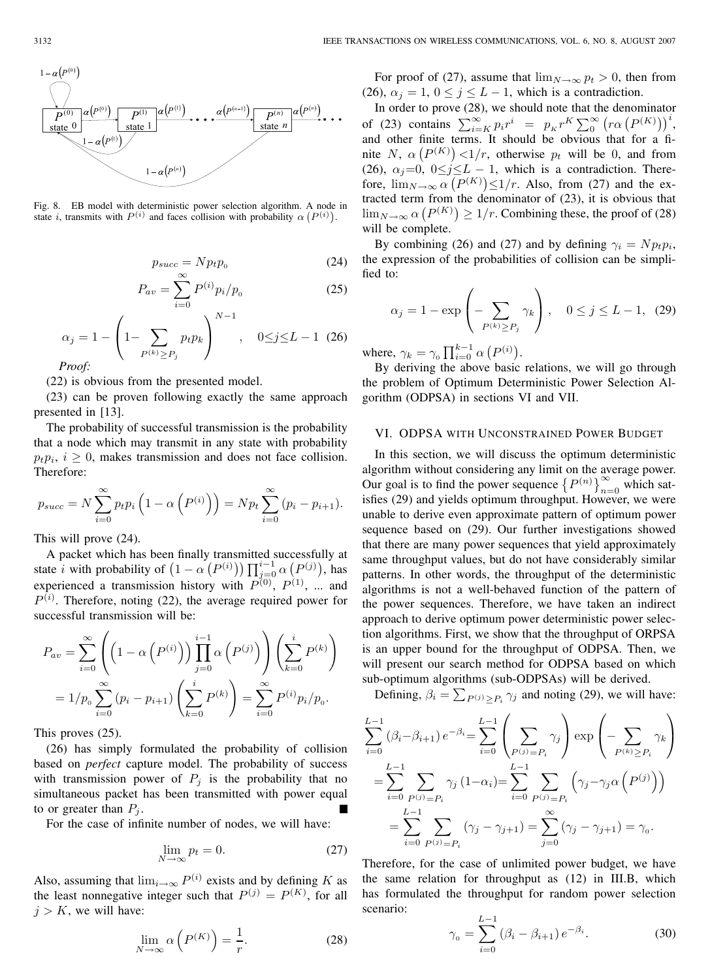

Fig. 8. EB model with deterministic power selection algorithm. A node in state *i*, transmits with  $P^{(i)}$  and faces collision with probability  $\alpha(P^{(i)})$ . If

$$
p_{succ} = Np_t p_0 \tag{24}
$$

$$
P_{av} = \sum_{i=0}^{\infty} P^{(i)} p_i / p_0
$$
 (25)

$$
\alpha_j = 1 - \left(1 - \sum_{P^{(k)} \ge P_j} p_t p_k\right)^{N-1}, \quad 0 \le j \le L - 1 \quad (26)
$$
  
Proof:

(22) is obvious from the presented model.

(23) can be proven following exactly the same approach presented in [13].

The probability of successful transmission is the probability that a node which may transmit in any state with probability  $p_t p_i$ ,  $i \geq 0$ , makes transmission and does not face collision. Therefore:

$$
p_{succ} = N \sum_{i=0}^{\infty} p_i p_i \left( 1 - \alpha \left( P^{(i)} \right) \right) = N p_t \sum_{i=0}^{\infty} (p_i - p_{i+1}).
$$

This will prove (24).

A packet which has been finally transmitted successfully at state *i* with probability of  $(1 - \alpha \left( P^{(i)} \right)) \prod_{j=0}^{i-1} \alpha \left( P^{(j)} \right)$ , has experienced a transmission history with  $P^{(0)}$ ,  $P^{(1)}$ , ... and  $P^{(i)}$ . Therefore, noting (22), the average required power for successful transmission will be:

$$
P_{av} = \sum_{i=0}^{\infty} \left( \left( 1 - \alpha \left( P^{(i)} \right) \right) \prod_{j=0}^{i-1} \alpha \left( P^{(j)} \right) \right) \left( \sum_{k=0}^{i} P^{(k)} \right)
$$
  
=  $1/p_0 \sum_{i=0}^{\infty} (p_i - p_{i+1}) \left( \sum_{k=0}^{i} P^{(k)} \right) = \sum_{i=0}^{\infty} P^{(i)} p_i / p_0.$ 

This proves (25).

(26) has simply formulated the probability of collision based on *perfect* capture model. The probability of success with transmission power of  $P_i$  is the probability that no simultaneous packet has been transmitted with power equal to or greater than  $P_i$ .

For the case of infinite number of nodes, we will have:

$$
\lim_{N \to \infty} p_t = 0. \tag{27}
$$

Also, assuming that  $\lim_{i\to\infty} P^{(i)}$  exists and by defining K as the least nonnegative integer such that  $P^{(j)} = P^{(K)}$ , for all  $j > K$ , we will have:

$$
\lim_{N \to \infty} \alpha \left( P^{(K)} \right) = \frac{1}{r}.
$$
\n(28)

For proof of (27), assume that  $\lim_{N\to\infty} p_t > 0$ , then from (26),  $\alpha_j = 1$ ,  $0 \le j \le L - 1$ , which is a contradiction.

In order to prove (28), we should note that the denominator of (23) contains  $\sum_{i=K}^{\infty} p_i r^i = p_K r^K \sum_{0}^{\infty} (r \alpha (P^{(K)}))^i$ , and other finite terms. It should be obvious that for a finite N,  $\alpha(P^{(K)})$  < 1/r, otherwise  $p_t$  will be 0, and from (26),  $\alpha_j=0$ ,  $0\leq j\leq L-1$ , which is a contradiction. Therefore,  $\lim_{N \to \infty} \alpha (P^{(K)}) \leq 1/r$ . Also, from (27) and the extracted term from the denominator of (23), it is obvious that  $\lim_{N\to\infty} \alpha (P^{(K)}) \geq 1/r$ . Combining these, the proof of (28) will be complete.

By combining (26) and (27) and by defining  $\gamma_i = N p_t p_i$ , the expression of the probabilities of collision can be simplified to:

$$
\alpha_j = 1 - \exp\left(-\sum_{P^{(k)} \ge P_j} \gamma_k\right), \quad 0 \le j \le L - 1, \tag{29}
$$

where,  $\gamma_k = \gamma_0 \prod_{i=0}^{k-1} \alpha \left( P^{(i)} \right)$ .

By deriving the above basic relations, we will go through the problem of Optimum Deterministic Power Selection Algorithm (ODPSA) in sections VI and VII.

## VI. ODPSA WITH UNCONSTRAINED POWER BUDGET

In this section, we will discuss the optimum deterministic algorithm without considering any limit on the average power. Our goal is to find the power sequence  $\left\{P^{(n)}\right\}_{n=0}^{\infty}$  which satisfies (29) and yields optimum throughput. However, we were unable to derive even approximate pattern of optimum power sequence based on (29). Our further investigations showed that there are many power sequences that yield approximately same throughput values, but do not have considerably similar patterns. In other words, the throughput of the deterministic algorithms is not a well-behaved function of the pattern of the power sequences. Therefore, we have taken an indirect approach to derive optimum power deterministic power selection algorithms. First, we show that the throughput of ORPSA is an upper bound for the throughput of ODPSA. Then, we will present our search method for ODPSA based on which sub-optimum algorithms (sub-ODPSAs) will be derived.

Defining,  $\beta_i = \sum_{P^{(j)} \ge P_i} \gamma_j$  and noting (29), we will have:

$$
\sum_{i=0}^{L-1} (\beta_i - \beta_{i+1}) e^{-\beta_i} = \sum_{i=0}^{L-1} \left( \sum_{P^{(j)} = P_i} \gamma_j \right) \exp \left( - \sum_{P^{(k)} \ge P_i} \gamma_k \right)
$$
  
= 
$$
\sum_{i=0}^{L-1} \sum_{P^{(j)} = P_i} \gamma_j (1 - \alpha_i) = \sum_{i=0}^{L-1} \sum_{P^{(j)} = P_i} \left( \gamma_j - \gamma_j \alpha \left( P^{(j)} \right) \right)
$$
  
= 
$$
\sum_{i=0}^{L-1} \sum_{P^{(j)} = P_i} (\gamma_j - \gamma_{j+1}) = \sum_{j=0}^{\infty} (\gamma_j - \gamma_{j+1}) = \gamma_0.
$$

Therefore, for the case of unlimited power budget, we have the same relation for throughput as (12) in III.B, which has formulated the throughput for random power selection scenario:

$$
\gamma_0 = \sum_{i=0}^{L-1} (\beta_i - \beta_{i+1}) e^{-\beta_i}.
$$
 (30)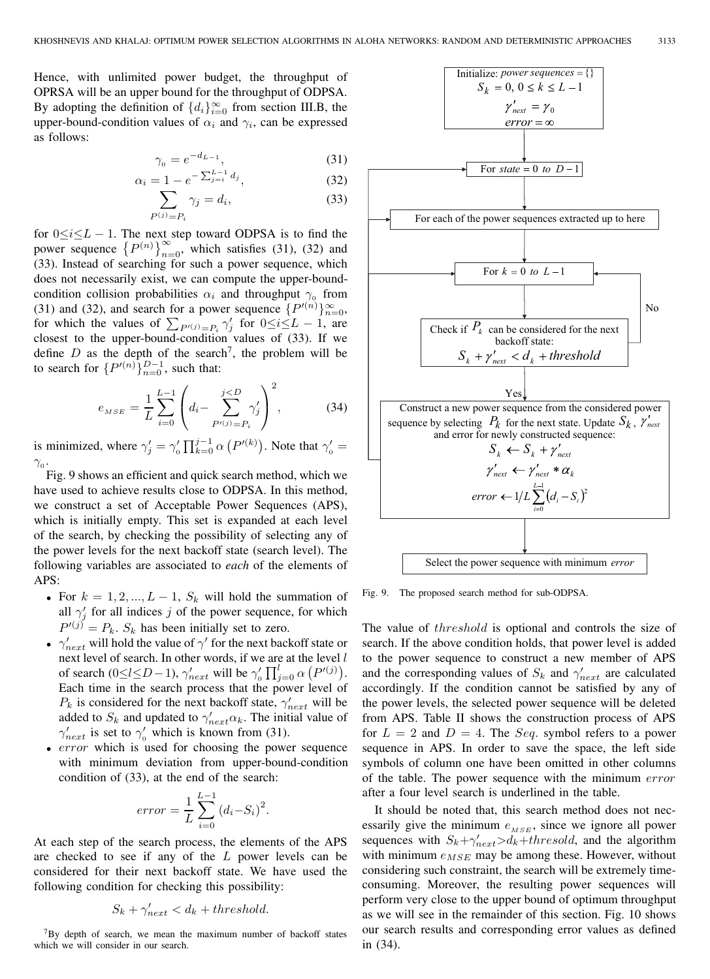Hence, with unlimited power budget, the throughput of OPRSA will be an upper bound for the throughput of ODPSA. By adopting the definition of  $\{d_i\}_{i=0}^{\infty}$  from section III.B, the upper-bound-condition values of  $\alpha_i$  and  $\gamma_i$ , can be expressed as follows:

$$
\gamma_0 = e^{-d_{L-1}},\tag{31}
$$

$$
\alpha_i = 1 - e^{-\sum_{j=i}^{L-1} d_j},
$$
\n(32)\n
$$
\sum_{j \in J} \gamma_i = d_i.
$$
\n(33)

$$
\sum_{P^{(j)}=P_i} \gamma_j = d_i,\tag{33}
$$

for  $0 \le i \le L - 1$ . The next step toward ODPSA is to find the power sequence  $\{P^{(n)}\}_{n=0}^{\infty}$ , which satisfies (31), (32) and (33). Instead of searching for such a power sequence, which does not necessarily exist, we can compute the upper-boundcondition collision probabilities  $\alpha_i$  and throughput  $\gamma_0$  from (31) and (32), and search for a power sequence  $\{P'(n)\}_{n=0}^{\infty}$ , for which the values of  $\sum_{P'(i)=P_i} \gamma'_j$  for  $0 \le i \le L - 1$ , are closest to the upper-bound-condition values of (33). If we define  $D$  as the depth of the search<sup>7</sup>, the problem will be to search for  $\{P'(n)\}_{n=0}^{D-1}$ , such that:

$$
e_{MSE} = \frac{1}{L} \sum_{i=0}^{L-1} \left( d_i - \sum_{P'(i)=P_i}^{j
$$

is minimized, where  $\gamma'_j = \gamma'_0 \prod_{k=0}^{j-1} \alpha \left( P'^{(k)} \right)$ . Note that  $\gamma'_0 =$  $\gamma_{0}$ .

Fig. 9 shows an efficient and quick search method, which we have used to achieve results close to ODPSA. In this method, we construct a set of Acceptable Power Sequences (APS), which is initially empty. This set is expanded at each level of the search, by checking the possibility of selecting any of the power levels for the next backoff state (search level). The following variables are associated to *each* of the elements of APS:

- For  $k = 1, 2, ..., L 1$ ,  $S_k$  will hold the summation of all  $\gamma'_j$  for all indices j of the power sequence, for which  $P'(j) = P_k$ .  $S_k$  has been initially set to zero.
- $\gamma'_{next}$  will hold the value of  $\gamma'$  for the next backoff state or next level of search. In other words, if we are at the level  $l$ of search (0≤l≤D – 1),  $\gamma'_{next}$  will be  $\gamma'_{0} \prod_{j=0}^{l} \alpha (P^{(j)})$ . Each time in the search process that the power level of  $P_k$  is considered for the next backoff state,  $\gamma'_{next}$  will be added to  $S_k$  and updated to  $\gamma'_{next}\alpha_k$ . The initial value of  $\gamma'_{next}$  is set to  $\gamma'_{0}$  which is known from (31).
- error which is used for choosing the power sequence with minimum deviation from upper-bound-condition condition of (33), at the end of the search:

$$
error = \frac{1}{L} \sum_{i=0}^{L-1} (d_i - S_i)^2
$$

.

At each step of the search process, the elements of the APS are checked to see if any of the L power levels can be considered for their next backoff state. We have used the following condition for checking this possibility:

$$
S_k + \gamma'_{next} < d_k + threshold.
$$

7By depth of search, we mean the maximum number of backoff states which we will consider in our search.



Fig. 9. The proposed search method for sub-ODPSA.

The value of *threshold* is optional and controls the size of search. If the above condition holds, that power level is added to the power sequence to construct a new member of APS and the corresponding values of  $S_k$  and  $\gamma'_{next}$  are calculated accordingly. If the condition cannot be satisfied by any of the power levels, the selected power sequence will be deleted from APS. Table II shows the construction process of APS for  $L = 2$  and  $D = 4$ . The *Seq*. symbol refers to a power sequence in APS. In order to save the space, the left side symbols of column one have been omitted in other columns of the table. The power sequence with the minimum error after a four level search is underlined in the table.

It should be noted that, this search method does not necessarily give the minimum  $e_{MSE}$ , since we ignore all power sequences with  $S_k + \gamma'_{next} > d_k + threshold$ , and the algorithm with minimum  $e_{MSE}$  may be among these. However, without considering such constraint, the search will be extremely timeconsuming. Moreover, the resulting power sequences will perform very close to the upper bound of optimum throughput as we will see in the remainder of this section. Fig. 10 shows our search results and corresponding error values as defined in (34).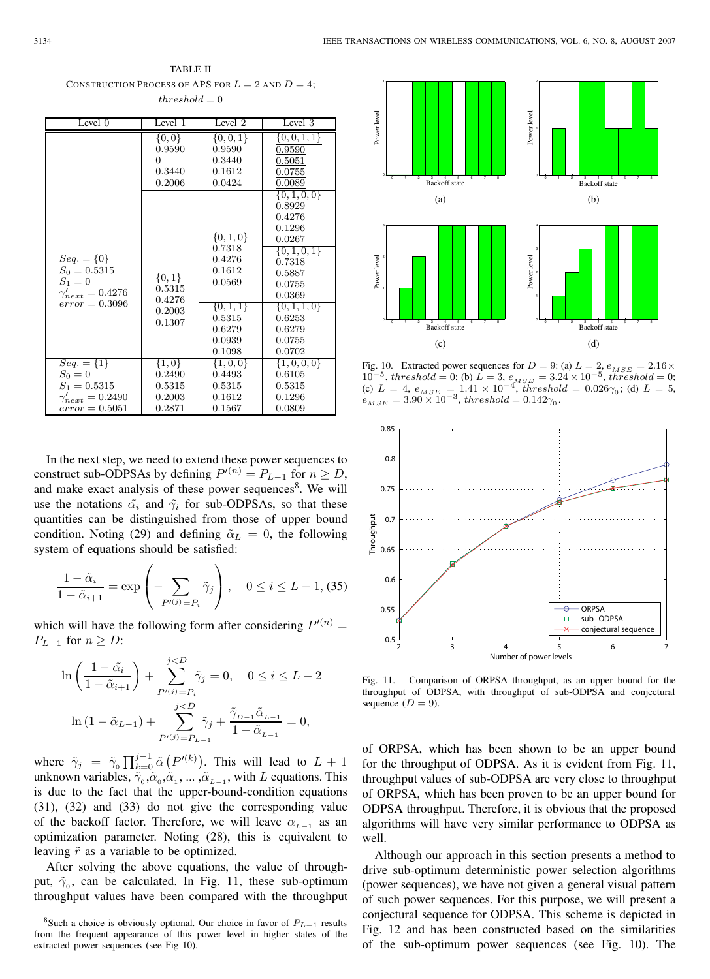TABLE II CONSTRUCTION PROCESS OF APS FOR  $L = 2$  and  $D = 4$ ;  $threshold = 0$ 

| Level 0                                                                                        | Level 1                                           | Level <sub>2</sub>                                                                                           | Level 3                                                                                                                                                                       |
|------------------------------------------------------------------------------------------------|---------------------------------------------------|--------------------------------------------------------------------------------------------------------------|-------------------------------------------------------------------------------------------------------------------------------------------------------------------------------|
|                                                                                                | $\{0,0\}$                                         | $\{0, 0, 1\}$                                                                                                | $\{0,0,1,1\}$                                                                                                                                                                 |
|                                                                                                | 0.9590                                            | 0.9590                                                                                                       | 0.9590                                                                                                                                                                        |
|                                                                                                | $^{(1)}$                                          | 0.3440                                                                                                       | 0.5051                                                                                                                                                                        |
|                                                                                                | 0.3440                                            | 0.1612                                                                                                       | 0.0755                                                                                                                                                                        |
|                                                                                                | 0.2006                                            | 0.0424                                                                                                       | 0.0089                                                                                                                                                                        |
| $Seq. = \{0\}$<br>$S_0 = 0.5315$<br>$S_1 = 0$<br>$\gamma'_{next} = 0.4276$<br>$error = 0.3096$ | $\{0,1\}$<br>0.5315<br>0.4276<br>0.2003<br>0.1307 | $\{0, 1, 0\}$<br>0.7318<br>0.4276<br>0.1612<br>0.0569<br>$\{0,1,1\}$<br>0.5315<br>0.6279<br>0.0939<br>0.1098 | $\{0, 1, 0, 0\}$<br>0.8929<br>0.4276<br>0.1296<br>0.0267<br>$\{0, 1, 0, 1\}$<br>0.7318<br>0.5887<br>0.0755<br>0.0369<br>$\{0,1,1,0\}$<br>0.6253<br>0.6279<br>0.0755<br>0.0702 |
| $Seq. = \{1\}$                                                                                 | $\{1,0\}$                                         | $\{1,0,0\}$                                                                                                  | $\{1,0,0,0\}$                                                                                                                                                                 |
| $S_0 = 0$                                                                                      | 0.2490                                            | 0.4493                                                                                                       | 0.6105                                                                                                                                                                        |
| $S_1 = 0.5315$                                                                                 | 0.5315                                            | 0.5315                                                                                                       | 0.5315                                                                                                                                                                        |
| $\gamma'_{next} = 0.2490$                                                                      | 0.2003                                            | 0.1612                                                                                                       | 0.1296                                                                                                                                                                        |
| $error = 0.5051$                                                                               | 0.2871                                            | 0.1567                                                                                                       | 0.0809                                                                                                                                                                        |

In the next step, we need to extend these power sequences to construct sub-ODPSAs by defining  $P'(n) = P_{L-1}$  for  $n \ge D$ , and make exact analysis of these power sequences<sup>8</sup>. We will use the notations  $\tilde{\alpha}_i$  and  $\tilde{\gamma}_i$  for sub-ODPSAs, so that these quantities can be distinguished from those of upper bound condition. Noting (29) and defining  $\tilde{\alpha}_L = 0$ , the following system of equations should be satisfied:

$$
\frac{1-\tilde{\alpha}_i}{1-\tilde{\alpha}_{i+1}} = \exp\left(-\sum_{P'(j)=P_i} \tilde{\gamma}_j\right), \quad 0 \le i \le L-1, (35)
$$

which will have the following form after considering  $P'(n)$  =  $P_{L-1}$  for  $n \geq D$ :

$$
\ln\left(\frac{1-\tilde{\alpha}_i}{1-\tilde{\alpha}_{i+1}}\right) + \sum_{P^{(j)}=P_i}^{j
$$
\ln\left(1-\tilde{\alpha}_{L-1}\right) + \sum_{P^{(j)}=P_{L-1}}^{j
$$
$$

where  $\tilde{\gamma}_j = \tilde{\gamma}_0 \prod_{k=0}^{j-1} \tilde{\alpha} \left( P'^{(k)} \right)$ . This will lead to  $L + 1$ unknown variables,  $\tilde{\gamma}_0$ , $\tilde{\alpha}_0$ , $\tilde{\alpha}_1$ , ..., $\tilde{\alpha}_{L-1}$ , with L equations. This is due to the fact that the upper-bound-condition equations (31), (32) and (33) do not give the corresponding value of the backoff factor. Therefore, we will leave  $\alpha_{L-1}$  as an optimization parameter. Noting (28), this is equivalent to leaving  $\tilde{r}$  as a variable to be optimized.

After solving the above equations, the value of throughput,  $\tilde{\gamma}_0$ , can be calculated. In Fig. 11, these sub-optimum throughput values have been compared with the throughput



Fig. 10. Extracted power sequences for  $D = 9$ : (a)  $L = 2$ ,  $e_{MSE} = 2.16 \times$  $10^{-5}$ , threshold = 0; (b)  $\hat{L} = 3$ ,  $e_{MSE} = 3.24 \times 10^{-5}$ , threshold = 0; (c)  $L = 4$ ,  $e_{MSE} = 1.41 \times 10^{-4}$ , threshold = 0.026 $\gamma_0$ ; (d)  $L = 5$ ,  $e_{MSE} = 3.90 \times 10^{-3}$ , threshold = 0.142 $\gamma_0$ .



Fig. 11. Comparison of ORPSA throughput, as an upper bound for the throughput of ODPSA, with throughput of sub-ODPSA and conjectural sequence  $(D = 9)$ .

of ORPSA, which has been shown to be an upper bound for the throughput of ODPSA. As it is evident from Fig. 11, throughput values of sub-ODPSA are very close to throughput of ORPSA, which has been proven to be an upper bound for ODPSA throughput. Therefore, it is obvious that the proposed algorithms will have very similar performance to ODPSA as well.

Although our approach in this section presents a method to drive sub-optimum deterministic power selection algorithms (power sequences), we have not given a general visual pattern of such power sequences. For this purpose, we will present a conjectural sequence for ODPSA. This scheme is depicted in Fig. 12 and has been constructed based on the similarities of the sub-optimum power sequences (see Fig. 10). The

<sup>8</sup>Such a choice is obviously optional. Our choice in favor of <sup>P</sup>*L*−<sup>1</sup> results from the frequent appearance of this power level in higher states of the extracted power sequences (see Fig 10).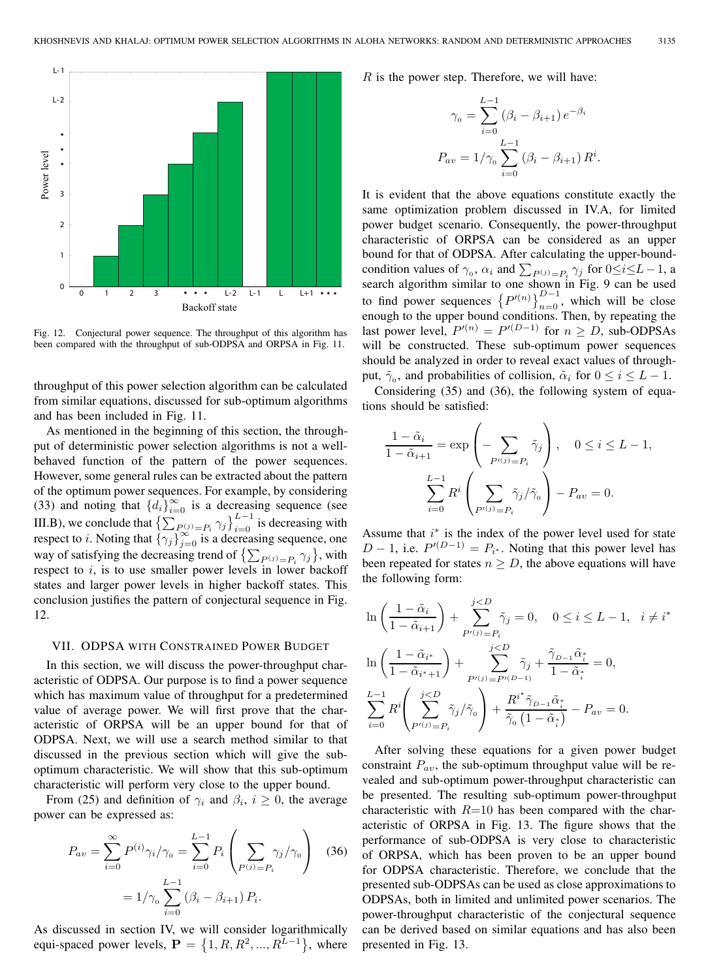

Fig. 12. Conjectural power sequence. The throughput of this algorithm has been compared with the throughput of sub-ODPSA and ORPSA in Fig. 11.

throughput of this power selection algorithm can be calculated from similar equations, discussed for sub-optimum algorithms and has been included in Fig. 11.

As mentioned in the beginning of this section, the throughput of deterministic power selection algorithms is not a wellbehaved function of the pattern of the power sequences. However, some general rules can be extracted about the pattern of the optimum power sequences. For example, by considering (33) and noting that  $\{d_i\}_{i=0}^{\infty}$  is a decreasing sequence (see III.B), we conclude that  $\left\{ \sum_{P(i)=P_i}^{\infty} \gamma_j \right\}_{i=0}^{L-1}$  is decreasing with respect to *i*. Noting that  $\{\gamma_j\}_{j=0}^{\infty}$  is a decreasing sequence, one way of satisfying the decreasing trend of  $\{\sum_{P^{(j)}=P_i} \gamma_j\}$ , with respect to  $i$ , is to use smaller power levels in lower backoff states and larger power levels in higher backoff states. This conclusion justifies the pattern of conjectural sequence in Fig. 12.

#### VII. ODPSA WITH CONSTRAINED POWER BUDGET

In this section, we will discuss the power-throughput characteristic of ODPSA. Our purpose is to find a power sequence which has maximum value of throughput for a predetermined value of average power. We will first prove that the characteristic of ORPSA will be an upper bound for that of ODPSA. Next, we will use a search method similar to that discussed in the previous section which will give the suboptimum characteristic. We will show that this sub-optimum characteristic will perform very close to the upper bound.

From (25) and definition of  $\gamma_i$  and  $\beta_i$ ,  $i \geq 0$ , the average power can be expressed as:

$$
P_{av} = \sum_{i=0}^{\infty} P^{(i)} \gamma_i / \gamma_0 = \sum_{i=0}^{L-1} P_i \left( \sum_{P^{(j)} = P_i} \gamma_j / \gamma_0 \right) \quad (36)
$$

$$
= 1 / \gamma_0 \sum_{i=0}^{L-1} (\beta_i - \beta_{i+1}) P_i.
$$

As discussed in section IV, we will consider logarithmically equi-spaced power levels,  $\mathbf{P} = \{1, R, R^2, ..., R^{L-1}\},\$  where

 $R$  is the power step. Therefore, we will have:

$$
\gamma_0 = \sum_{i=0}^{L-1} (\beta_i - \beta_{i+1}) e^{-\beta_i}
$$

$$
P_{av} = 1/\gamma_0 \sum_{i=0}^{L-1} (\beta_i - \beta_{i+1}) R^i.
$$

It is evident that the above equations constitute exactly the same optimization problem discussed in IV.A, for limited power budget scenario. Consequently, the power-throughput characteristic of ORPSA can be considered as an upper bound for that of ODPSA. After calculating the upper-boundcondition values of  $\gamma_0$ ,  $\alpha_i$  and  $\sum_{P^{(j)}=P_i} \gamma_j$  for  $0 \le i \le L-1$ , a search algorithm similar to one shown in Fig. 9 can be used to find power sequences  $\left\{P'(n)\right\}_{n=0}^{D-1}$ , which will be close enough to the upper bound conditions. Then, by repeating the last power level,  $P^{(n)} = P^{(D-1)}$  for  $n \ge D$ , sub-ODPSAs will be constructed. These sub-optimum power sequences should be analyzed in order to reveal exact values of throughput,  $\tilde{\gamma}_0$ , and probabilities of collision,  $\tilde{\alpha}_i$  for  $0 \le i \le L - 1$ .

Considering (35) and (36), the following system of equations should be satisfied:

$$
\frac{1 - \tilde{\alpha}_i}{1 - \tilde{\alpha}_{i+1}} = \exp\left(-\sum_{P'(j) = P_i} \tilde{\gamma}_j\right), \quad 0 \le i \le L - 1,
$$

$$
\sum_{i=0}^{L-1} R^i \left(\sum_{P'(j) = P_i} \tilde{\gamma}_j / \tilde{\gamma}_0\right) - P_{av} = 0.
$$

Assume that  $i^*$  is the index of the power level used for state  $D-1$ , i.e.  $P^{(D-1)} = P_{i^*}$ . Noting that this power level has been repeated for states  $n \geq D$ , the above equations will have the following form:

$$
\ln\left(\frac{1-\tilde{\alpha}_i}{1-\tilde{\alpha}_{i+1}}\right) + \sum_{P'(j)=P_i}^{j  

$$
\ln\left(\frac{1-\tilde{\alpha}_{i^*}}{1-\tilde{\alpha}_{i^*+1}}\right) + \sum_{P'(j)=P'(D-1)}^{j  

$$
\sum_{i=0}^{L-1} R^i \left(\sum_{P'(j)=P_i}^{j
$$
$$
$$

After solving these equations for a given power budget constraint  $P_{av}$ , the sub-optimum throughput value will be revealed and sub-optimum power-throughput characteristic can be presented. The resulting sub-optimum power-throughput characteristic with  $R=10$  has been compared with the characteristic of ORPSA in Fig. 13. The figure shows that the performance of sub-ODPSA is very close to characteristic of ORPSA, which has been proven to be an upper bound for ODPSA characteristic. Therefore, we conclude that the presented sub-ODPSAs can be used as close approximations to ODPSAs, both in limited and unlimited power scenarios. The power-throughput characteristic of the conjectural sequence can be derived based on similar equations and has also been presented in Fig. 13.